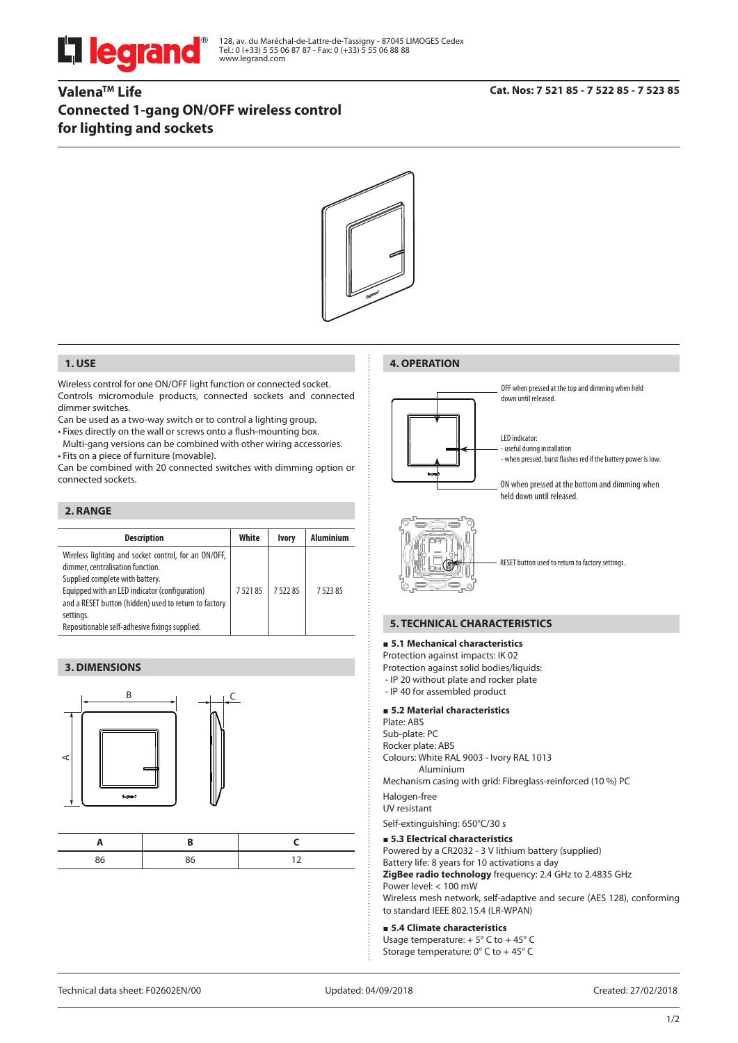

128, av. du Maréchal-de-Lattre-de-Tassigny - 87045 LIMOGES Cedex Tel.: 0 (+33) 5 55 06 87 87 - Fax: 0 (+33) 5 55 06 88 88 www.legrand.com

# **ValenaTM Life Connected 1-gang ON/OFF wireless control for lighting and sockets**



## **1. USE**

Wireless control for one ON/OFF light function or connected socket. Controls micromodule products, connected sockets and connected dimmer switches.

Can be used as a two-way switch or to control a lighting group.

• Fixes directly on the wall or screws onto a flush-mounting box.

Multi-gang versions can be combined with other wiring accessories. • Fits on a piece of furniture (movable).

Can be combined with 20 connected switches with dimming option or connected sockets.

# **2. RANGE**

| <b>Aluminium</b><br>White<br><b>Description</b><br><b>Ivory</b><br>Wireless lighting and socket control, for an ON/OFF,<br>dimmer, centralisation function.<br>Supplied complete with battery.<br>Equipped with an LED indicator (configuration)<br>752185<br>752285<br>7 5 2 3 8 5<br>and a RESET button (hidden) used to return to factory<br>settings.<br>Repositionable self-adhesive fixings supplied. |  |  |
|-------------------------------------------------------------------------------------------------------------------------------------------------------------------------------------------------------------------------------------------------------------------------------------------------------------------------------------------------------------------------------------------------------------|--|--|
|                                                                                                                                                                                                                                                                                                                                                                                                             |  |  |
|                                                                                                                                                                                                                                                                                                                                                                                                             |  |  |

## **3. DIMENSIONS**



# **4. OPERATION**





### **5. TECHNICAL CHARACTERISTICS**

#### **5.1 Mechanical characteristics**

Protection against impacts: IK 02 Protection against solid bodies/liquids: - IP 20 without plate and rocker plate

- IP 40 for assembled product

#### **5.2 Material characteristics**

Plate: ABS Sub-plate: PC Rocker plate: ABS Colours: White RAL 9003 - Ivory RAL 1013 Aluminium

Mechanism casing with grid: Fibreglass-reinforced (10 %) PC

Halogen-free

UV resistant

Self-extinguishing: 650°C/30 s

#### **5.3 Electrical characteristics**

Powered by a CR2032 - 3 V lithium battery (supplied) Battery life: 8 years for 10 activations a day **ZigBee radio technology** frequency: 2.4 GHz to 2.4835 GHz Power level: < 100 mW

Wireless mesh network, self-adaptive and secure (AES 128), conforming to standard IEEE 802.15.4 (LR-WPAN)

#### **5.4 Climate characteristics**

Usage temperature:  $+5^{\circ}$  C to  $+45^{\circ}$  C Storage temperature: 0° C to + 45° C